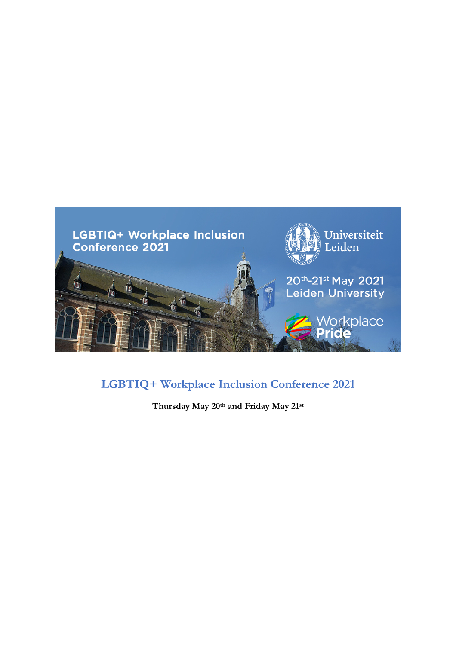

# **LGBTIQ+ Workplace Inclusion Conference 2021**

**Thursday May 20th and Friday May 21st**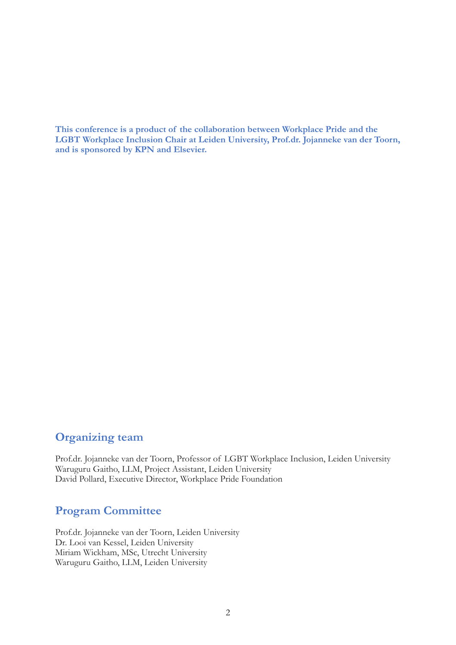**This conference is a product of the collaboration between Workplace Pride and the LGBT Workplace Inclusion Chair at Leiden University, Prof.dr. Jojanneke van der Toorn, and is sponsored by KPN and Elsevier.**

# **Organizing team**

Prof.dr. Jojanneke van der Toorn, Professor of LGBT Workplace Inclusion, Leiden University Waruguru Gaitho, LLM, Project Assistant, Leiden University David Pollard, Executive Director, Workplace Pride Foundation

# **Program Committee**

Prof.dr. Jojanneke van der Toorn, Leiden University Dr. Looi van Kessel, Leiden University Miriam Wickham, MSc, Utrecht University Waruguru Gaitho, LLM, Leiden University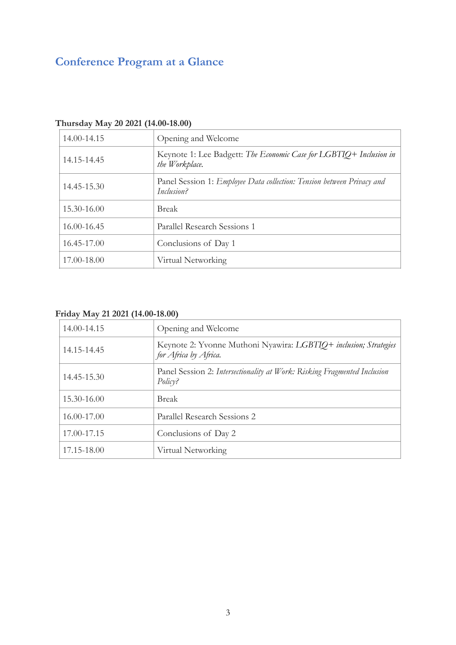# **Conference Program at a Glance**

| $\frac{1}{2}$ $\frac{1}{2}$ $\frac{1}{2}$ $\frac{1}{2}$ $\frac{1}{2}$ $\frac{1}{2}$ $\frac{1}{2}$ $\frac{1}{2}$ $\frac{1}{2}$ $\frac{1}{2}$ $\frac{1}{2}$ $\frac{1}{2}$ $\frac{1}{2}$ $\frac{1}{2}$ $\frac{1}{2}$ $\frac{1}{2}$ $\frac{1}{2}$ $\frac{1}{2}$ $\frac{1}{2}$ $\frac{1}{2}$ $\frac{1}{2}$ $\frac{1}{2}$ |                                                                                             |  |  |  |
|---------------------------------------------------------------------------------------------------------------------------------------------------------------------------------------------------------------------------------------------------------------------------------------------------------------------|---------------------------------------------------------------------------------------------|--|--|--|
| 14.00-14.15                                                                                                                                                                                                                                                                                                         | Opening and Welcome                                                                         |  |  |  |
| 14.15-14.45                                                                                                                                                                                                                                                                                                         | Keynote 1: Lee Badgett: The Economic Case for LGBTIQ+ Inclusion in<br>the Workplace.        |  |  |  |
| 14.45-15.30                                                                                                                                                                                                                                                                                                         | Panel Session 1: <i>Employee Data collection: Tension between Privacy and</i><br>Inclusion? |  |  |  |
| 15.30-16.00                                                                                                                                                                                                                                                                                                         | <b>Break</b>                                                                                |  |  |  |
| 16.00-16.45                                                                                                                                                                                                                                                                                                         | Parallel Research Sessions 1                                                                |  |  |  |
| 16.45-17.00                                                                                                                                                                                                                                                                                                         | Conclusions of Day 1                                                                        |  |  |  |
| 17.00-18.00                                                                                                                                                                                                                                                                                                         | Virtual Networking                                                                          |  |  |  |

# **Thursday May 20 2021 (14.00-18.00)**

# **Friday May 21 2021 (14.00-18.00)**

| 14.00-14.15 | Opening and Welcome                                                                       |
|-------------|-------------------------------------------------------------------------------------------|
| 14.15-14.45 | Keynote 2: Yvonne Muthoni Nyawira: LGBTIQ+ inclusion; Strategies<br>for Africa by Africa. |
| 14.45-15.30 | Panel Session 2: Intersectionality at Work: Risking Fragmented Inclusion<br>Policy?       |
| 15.30-16.00 | <b>Break</b>                                                                              |
| 16.00-17.00 | Parallel Research Sessions 2                                                              |
| 17.00-17.15 | Conclusions of Day 2                                                                      |
| 17.15-18.00 | Virtual Networking                                                                        |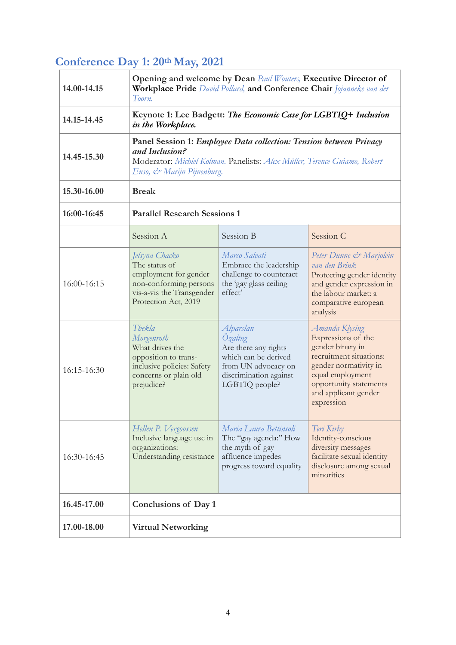# **Conference Day 1: 20th May, 2021**

| 14.00-14.15     | Opening and welcome by Dean Paul Wouters, Executive Director of<br>Workplace Pride David Pollard, and Conference Chair Jojanneke van der<br>Toorn.                                                     |                                                                                                                                         |                                                                                                                                                                                                  |  |  |
|-----------------|--------------------------------------------------------------------------------------------------------------------------------------------------------------------------------------------------------|-----------------------------------------------------------------------------------------------------------------------------------------|--------------------------------------------------------------------------------------------------------------------------------------------------------------------------------------------------|--|--|
| 14.15-14.45     | Keynote 1: Lee Badgett: The Economic Case for LGBTIQ+ Inclusion<br>in the Workplace.                                                                                                                   |                                                                                                                                         |                                                                                                                                                                                                  |  |  |
| 14.45-15.30     | Panel Session 1: <i>Employee Data collection: Tension between Privacy</i><br>and Inclusion?<br>Moderator: Michiel Kolman. Panelists: Alex Müller, Terence Guiamo, Robert<br>Enso, & Marijn Pijnenburg. |                                                                                                                                         |                                                                                                                                                                                                  |  |  |
| 15.30-16.00     | <b>Break</b>                                                                                                                                                                                           |                                                                                                                                         |                                                                                                                                                                                                  |  |  |
| 16:00-16:45     | <b>Parallel Research Sessions 1</b>                                                                                                                                                                    |                                                                                                                                         |                                                                                                                                                                                                  |  |  |
|                 | Session A                                                                                                                                                                                              | Session B                                                                                                                               | Session C                                                                                                                                                                                        |  |  |
| $16:00 - 16:15$ | Jelsyna Chacko<br>The status of<br>employment for gender<br>non-conforming persons<br>vis-a-vis the Transgender<br>Protection Act, 2019                                                                | Marco Salvati<br>Embrace the leadership<br>challenge to counteract<br>the 'gay glass ceiling<br>effect'                                 | Peter Dunne & Marjolein<br>van den Brink<br>Protecting gender identity<br>and gender expression in<br>the labour market: a<br>comparative european<br>analysis                                   |  |  |
| 16:15-16:30     | Thekla<br>Morgenroth<br>What drives the<br>opposition to trans-<br>inclusive policies: Safety<br>concerns or plain old<br>prejudice?                                                                   | Alparslan<br>Özaltug<br>Are there any rights<br>which can be derived<br>from UN advocacy on<br>discrimination against<br>LGBTIQ people? | Amanda Klysing<br>Expressions of the<br>gender binary in<br>recruitment situations:<br>gender normativity in<br>equal employment<br>opportunity statements<br>and applicant gender<br>expression |  |  |
| 16:30-16:45     | Hellen P. Vergoossen<br>Inclusive language use in<br>organizations:<br>Understanding resistance                                                                                                        | Maria Laura Bettinsoli<br>The "gay agenda:" How<br>the myth of gay<br>affluence impedes<br>progress toward equality                     | Teri Kirby<br>Identity-conscious<br>diversity messages<br>facilitate sexual identity<br>disclosure among sexual<br>minorities                                                                    |  |  |
| 16.45-17.00     | Conclusions of Day 1                                                                                                                                                                                   |                                                                                                                                         |                                                                                                                                                                                                  |  |  |
| 17.00-18.00     | <b>Virtual Networking</b>                                                                                                                                                                              |                                                                                                                                         |                                                                                                                                                                                                  |  |  |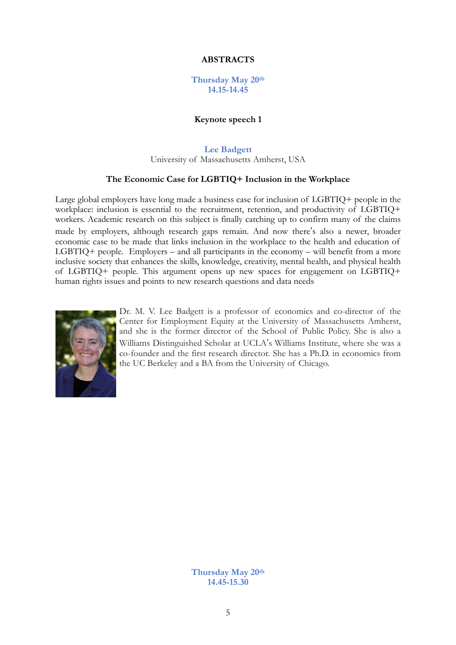# **ABSTRACTS**

## **Thursday May 20th 14.15-14.45**

#### **Keynote speech 1**

**Lee Badgett**

University of Massachusetts Amherst, USA

#### **The Economic Case for LGBTIQ+ Inclusion in the Workplace**

Large global employers have long made a business case for inclusion of LGBTIQ+ people in the workplace: inclusion is essential to the recruitment, retention, and productivity of LGBTIQ+ workers. Academic research on this subject is finally catching up to confirm many of the claims made by employers, although research gaps remain. And now there"s also a newer, broader economic case to be made that links inclusion in the workplace to the health and education of LGBTIQ+ people. Employers – and all participants in the economy – will benefit from a more inclusive society that enhances the skills, knowledge, creativity, mental health, and physical health of LGBTIQ+ people. This argument opens up new spaces for engagement on LGBTIQ+ human rights issues and points to new research questions and data needs



Dr. M. V. Lee Badgett is a professor of economics and co-director of the Center for Employment Equity at the University of Massachusetts Amherst, and she is the former director of the School of Public Policy. She is also a Williams Distinguished Scholar at UCLA"s Williams Institute, where she was a co-founder and the first research director. She has a Ph.D. in economics from the UC Berkeley and a BA from the University of Chicago.

> **Thursday May 20th 14.45-15.30**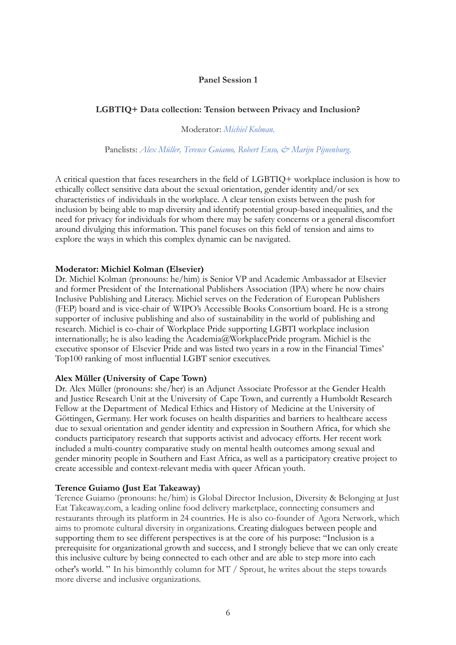# **Panel Session 1**

# **LGBTIQ+ Data collection: Tension between Privacy and Inclusion?**

Moderator: *Michiel Kolman.* 

Panelists: Alex Müller, Terence Guiamo, Robert Enso, & Marijn Pijnenburg.

A critical question that faces researchers in the field of LGBTIQ+ workplace inclusion is how to ethically collect sensitive data about the sexual orientation, gender identity and/or sex characteristics of individuals in the workplace. A clear tension exists between the push for inclusion by being able to map diversity and identify potential group-based inequalities, and the need for privacy for individuals for whom there may be safety concerns or a general discomfort around divulging this information. This panel focuses on this field of tension and aims to explore the ways in which this complex dynamic can be navigated.

## **Moderator: Michiel Kolman (Elsevier)**

Dr. Michiel Kolman (pronouns: he/him) is Senior VP and Academic Ambassador at Elsevier and former President of the International Publishers Association (IPA) where he now chairs Inclusive Publishing and Literacy. Michiel serves on the Federation of European Publishers (FEP) board and is vice-chair of WIPO's Accessible Books Consortium board. He is a strong supporter of inclusive publishing and also of sustainability in the world of publishing and research. Michiel is co-chair of Workplace Pride supporting LGBTI workplace inclusion internationally; he is also leading the Academia@WorkplacePride program. Michiel is the executive sponsor of Elsevier Pride and was listed two years in a row in the Financial Times' Top100 ranking of most influential LGBT senior executives.

## **Alex Müller (University of Cape Town)**

Dr. Alex Müller (pronouns: she/her) is an Adjunct Associate Professor at the Gender Health and Justice Research Unit at the University of Cape Town, and currently a Humboldt Research Fellow at the Department of Medical Ethics and History of Medicine at the University of Göttingen, Germany. Her work focuses on health disparities and barriers to healthcare access due to sexual orientation and gender identity and expression in Southern Africa, for which she conducts participatory research that supports activist and advocacy efforts. Her recent work included a multi-country comparative study on mental health outcomes among sexual and gender minority people in Southern and East Africa, as well as a participatory creative project to create accessible and context-relevant media with queer African youth.

## **Terence Guiamo (Just Eat Takeaway)**

Terence Guiamo (pronouns: he/him) is Global Director Inclusion, Diversity & Belonging at Just Eat Takeaway.com, a leading online food delivery marketplace, connecting consumers and restaurants through its platform in 24 countries. He is also co-founder of Agora Network, which aims to promote cultural diversity in organizations. Creating dialogues between people and supporting them to see different perspectives is at the core of his purpose: "Inclusion is a prerequisite for organizational growth and success, and I strongly believe that we can only create this inclusive culture by being connected to each other and are able to step more into each other's world. " In his bimonthly column for MT / Sprout, he writes about the steps towards more diverse and inclusive organizations.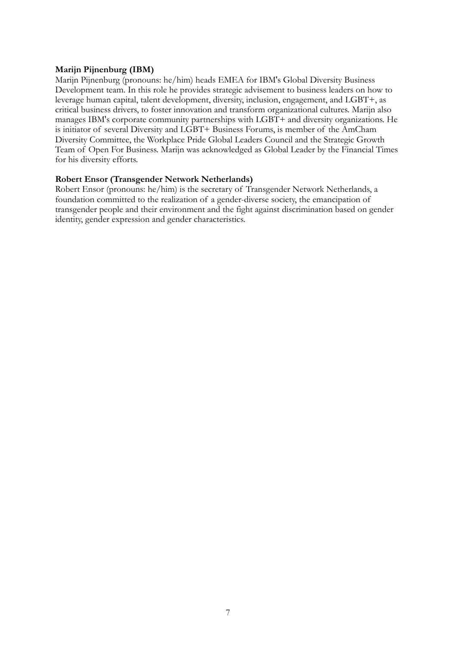# **Marijn Pijnenburg (IBM)**

Marijn Pijnenburg (pronouns: he/him) heads EMEA for IBM's Global Diversity Business Development team. In this role he provides strategic advisement to business leaders on how to leverage human capital, talent development, diversity, inclusion, engagement, and LGBT+, as critical business drivers, to foster innovation and transform organizational cultures. Marijn also manages IBM's corporate community partnerships with LGBT+ and diversity organizations. He is initiator of several Diversity and LGBT+ Business Forums, is member of the AmCham Diversity Committee, the Workplace Pride Global Leaders Council and the Strategic Growth Team of Open For Business. Marijn was acknowledged as Global Leader by the Financial Times for his diversity efforts.

# **Robert Ensor (Transgender Network Netherlands)**

Robert Ensor (pronouns: he/him) is the secretary of Transgender Network Netherlands, a foundation committed to the realization of a gender-diverse society, the emancipation of transgender people and their environment and the fight against discrimination based on gender identity, gender expression and gender characteristics.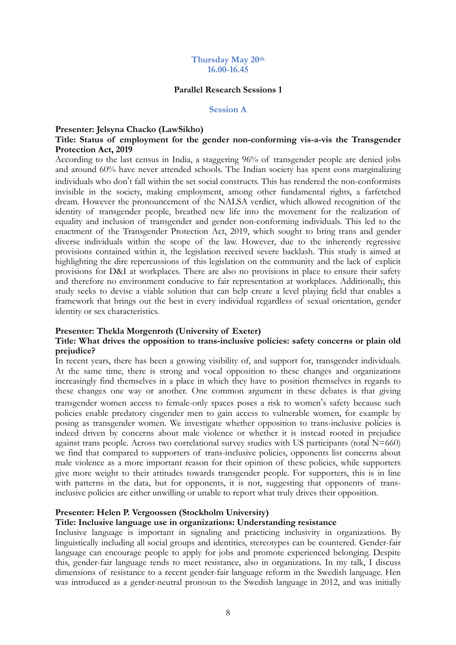#### **Thursday May 20th 16.00-16.45**

#### **Parallel Research Sessions 1**

#### **Session A**

#### **Presenter: Jelsyna Chacko (LawSikho)**

# **Title: Status of employment for the gender non-conforming vis-a-vis the Transgender Protection Act, 2019**

According to the last census in India, a staggering 96% of transgender people are denied jobs and around 60% have never attended schools. The Indian society has spent eons marginalizing individuals who don"t fall within the set social constructs. This has rendered the non-conformists invisible in the society, making employment, among other fundamental rights, a farfetched dream. However the pronouncement of the NALSA verdict, which allowed recognition of the identity of transgender people, breathed new life into the movement for the realization of equality and inclusion of transgender and gender non-conforming individuals. This led to the enactment of the Transgender Protection Act, 2019, which sought to bring trans and gender diverse individuals within the scope of the law. However, due to the inherently regressive provisions contained within it, the legislation received severe backlash. This study is aimed at highlighting the dire repercussions of this legislation on the community and the lack of explicit provisions for D&I at workplaces. There are also no provisions in place to ensure their safety and therefore no environment conducive to fair representation at workplaces. Additionally, this study seeks to devise a viable solution that can help create a level playing field that enables a framework that brings out the best in every individual regardless of sexual orientation, gender identity or sex characteristics.

## **Presenter: Thekla Morgenroth (University of Exeter)**

## **Title: What drives the opposition to trans-inclusive policies: safety concerns or plain old prejudice?**

In recent years, there has been a growing visibility of, and support for, transgender individuals. At the same time, there is strong and vocal opposition to these changes and organizations increasingly find themselves in a place in which they have to position themselves in regards to these changes one way or another. One common argument in these debates is that giving transgender women access to female-only spaces poses a risk to women"s safety because such policies enable predatory cisgender men to gain access to vulnerable women, for example by posing as transgender women. We investigate whether opposition to trans-inclusive policies is indeed driven by concerns about male violence or whether it is instead rooted in prejudice against trans people. Across two correlational survey studies with US participants (total  $N=660$ ) we find that compared to supporters of trans-inclusive policies, opponents list concerns about male violence as a more important reason for their opinion of these policies, while supporters give more weight to their attitudes towards transgender people. For supporters, this is in line with patterns in the data, but for opponents, it is not, suggesting that opponents of transinclusive policies are either unwilling or unable to report what truly drives their opposition.

## **Presenter: Helen P. Vergoossen (Stockholm University)**

#### **Title: Inclusive language use in organizations: Understanding resistance**

Inclusive language is important in signaling and practicing inclusivity in organizations. By linguistically including all social groups and identities, stereotypes can be countered. Gender-fair language can encourage people to apply for jobs and promote experienced belonging. Despite this, gender-fair language tends to meet resistance, also in organizations. In my talk, I discuss dimensions of resistance to a recent gender-fair language reform in the Swedish language. Hen was introduced as a gender-neutral pronoun to the Swedish language in 2012, and was initially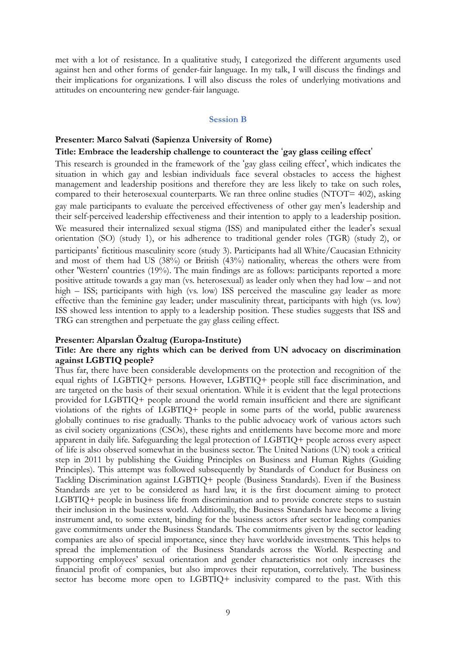met with a lot of resistance. In a qualitative study, I categorized the different arguments used against hen and other forms of gender-fair language. In my talk, I will discuss the findings and their implications for organizations. I will also discuss the roles of underlying motivations and attitudes on encountering new gender-fair language.

#### **Session B**

# **Presenter: Marco Salvati (Sapienza University of Rome)**

## Title: Embrace the leadership challenge to counteract the 'gay glass ceiling effect'

This research is grounded in the framework of the 'gay glass ceiling effect', which indicates the situation in which gay and lesbian individuals face several obstacles to access the highest management and leadership positions and therefore they are less likely to take on such roles, compared to their heterosexual counterparts. We ran three online studies (NTOT= 402), asking gay male participants to evaluate the perceived effectiveness of other gay men"s leadership and their self-perceived leadership effectiveness and their intention to apply to a leadership position. We measured their internalized sexual stigma (ISS) and manipulated either the leader's sexual orientation (SO) (study 1), or his adherence to traditional gender roles (TGR) (study 2), or participants" fictitious masculinity score (study 3). Participants had all White/Caucasian Ethnicity and most of them had US (38%) or British (43%) nationality, whereas the others were from other 'Western' countries (19%). The main findings are as follows: participants reported a more positive attitude towards a gay man (vs. heterosexual) as leader only when they had low – and not high – ISS; participants with high (vs. low) ISS perceived the masculine gay leader as more effective than the feminine gay leader; under masculinity threat, participants with high (vs. low) ISS showed less intention to apply to a leadership position. These studies suggests that ISS and TRG can strengthen and perpetuate the gay glass ceiling effect.

#### **Presenter: Alparslan Özaltug (Europa-Institute)**

## **Title: Are there any rights which can be derived from UN advocacy on discrimination against LGBTIQ people?**

Thus far, there have been considerable developments on the protection and recognition of the equal rights of LGBTIQ+ persons. However, LGBTIQ+ people still face discrimination, and are targeted on the basis of their sexual orientation. While it is evident that the legal protections provided for LGBTIQ+ people around the world remain insufficient and there are significant violations of the rights of LGBTIQ+ people in some parts of the world, public awareness globally continues to rise gradually. Thanks to the public advocacy work of various actors such as civil society organizations (CSOs), these rights and entitlements have become more and more apparent in daily life. Safeguarding the legal protection of LGBTIQ+ people across every aspect of life is also observed somewhat in the business sector. The United Nations (UN) took a critical step in 2011 by publishing the Guiding Principles on Business and Human Rights (Guiding Principles). This attempt was followed subsequently by Standards of Conduct for Business on Tackling Discrimination against LGBTIQ+ people (Business Standards). Even if the Business Standards are yet to be considered as hard law, it is the first document aiming to protect LGBTIQ+ people in business life from discrimination and to provide concrete steps to sustain their inclusion in the business world. Additionally, the Business Standards have become a living instrument and, to some extent, binding for the business actors after sector leading companies gave commitments under the Business Standards. The commitments given by the sector leading companies are also of special importance, since they have worldwide investments. This helps to spread the implementation of the Business Standards across the World. Respecting and supporting employees' sexual orientation and gender characteristics not only increases the financial profit of companies, but also improves their reputation, correlatively. The business sector has become more open to LGBTIQ+ inclusivity compared to the past. With this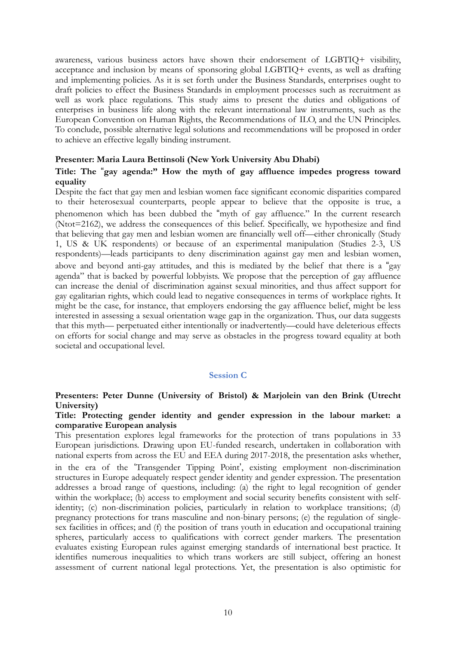awareness, various business actors have shown their endorsement of LGBTIQ+ visibility, acceptance and inclusion by means of sponsoring global LGBTIQ+ events, as well as drafting and implementing policies. As it is set forth under the Business Standards, enterprises ought to draft policies to effect the Business Standards in employment processes such as recruitment as well as work place regulations. This study aims to present the duties and obligations of enterprises in business life along with the relevant international law instruments, such as the European Convention on Human Rights, the Recommendations of ILO, and the UN Principles. To conclude, possible alternative legal solutions and recommendations will be proposed in order to achieve an effective legally binding instrument.

#### **Presenter: Maria Laura Bettinsoli (New York University Abu Dhabi)**

# Title: The "gay agenda:" How the myth of gay affluence impedes progress toward **equality**

Despite the fact that gay men and lesbian women face significant economic disparities compared to their heterosexual counterparts, people appear to believe that the opposite is true, a phenomenon which has been dubbed the %myth of gay affluence." In the current research (Ntot=2162), we address the consequences of this belief. Specifically, we hypothesize and find that believing that gay men and lesbian women are financially well off—either chronically (Study 1, US & UK respondents) or because of an experimental manipulation (Studies 2-3, US respondents)—leads participants to deny discrimination against gay men and lesbian women, above and beyond anti-gay attitudes, and this is mediated by the belief that there is a "gay agenda" that is backed by powerful lobbyists. We propose that the perception of gay affluence can increase the denial of discrimination against sexual minorities, and thus affect support for gay egalitarian rights, which could lead to negative consequences in terms of workplace rights. It might be the case, for instance, that employers endorsing the gay affluence belief, might be less interested in assessing a sexual orientation wage gap in the organization. Thus, our data suggests that this myth— perpetuated either intentionally or inadvertently—could have deleterious effects on efforts for social change and may serve as obstacles in the progress toward equality at both societal and occupational level.

## **Session C**

# **Presenters: Peter Dunne (University of Bristol) & Marjolein van den Brink (Utrecht University)**

# **Title: Protecting gender identity and gender expression in the labour market: a comparative European analysis**

This presentation explores legal frameworks for the protection of trans populations in 33 European jurisdictions. Drawing upon EU-funded research, undertaken in collaboration with national experts from across the EU and EEA during 2017-2018, the presentation asks whether,

in the era of the 'Transgender Tipping Point', existing employment non-discrimination structures in Europe adequately respect gender identity and gender expression. The presentation addresses a broad range of questions, including: (a) the right to legal recognition of gender within the workplace; (b) access to employment and social security benefits consistent with selfidentity; (c) non-discrimination policies, particularly in relation to workplace transitions; (d) pregnancy protections for trans masculine and non-binary persons; (e) the regulation of singlesex facilities in offices; and (f) the position of trans youth in education and occupational training spheres, particularly access to qualifications with correct gender markers. The presentation evaluates existing European rules against emerging standards of international best practice. It identifies numerous inequalities to which trans workers are still subject, offering an honest assessment of current national legal protections. Yet, the presentation is also optimistic for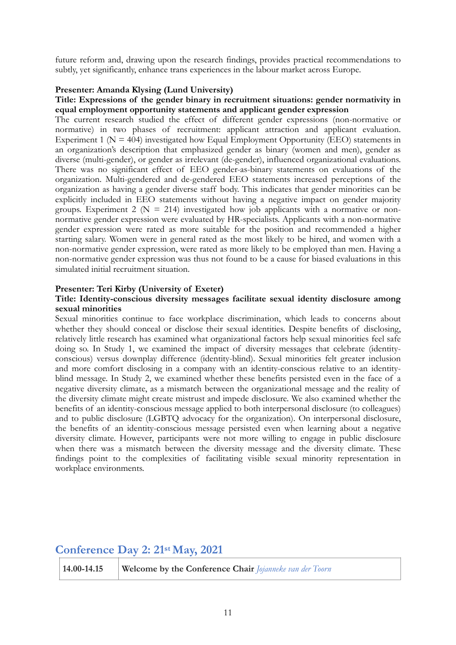future reform and, drawing upon the research findings, provides practical recommendations to subtly, yet significantly, enhance trans experiences in the labour market across Europe.

# **Presenter: Amanda Klysing (Lund University)**

# **Title: Expressions of the gender binary in recruitment situations: gender normativity in equal employment opportunity statements and applicant gender expression**

The current research studied the effect of different gender expressions (non-normative or normative) in two phases of recruitment: applicant attraction and applicant evaluation. Experiment 1 ( $N = 404$ ) investigated how Equal Employment Opportunity (EEO) statements in an organization's description that emphasized gender as binary (women and men), gender as diverse (multi-gender), or gender as irrelevant (de-gender), influenced organizational evaluations. There was no significant effect of EEO gender-as-binary statements on evaluations of the organization. Multi-gendered and de-gendered EEO statements increased perceptions of the organization as having a gender diverse staff body. This indicates that gender minorities can be explicitly included in EEO statements without having a negative impact on gender majority groups. Experiment 2 ( $N = 214$ ) investigated how job applicants with a normative or nonnormative gender expression were evaluated by HR-specialists. Applicants with a non-normative gender expression were rated as more suitable for the position and recommended a higher starting salary. Women were in general rated as the most likely to be hired, and women with a non-normative gender expression, were rated as more likely to be employed than men. Having a non-normative gender expression was thus not found to be a cause for biased evaluations in this simulated initial recruitment situation.

## **Presenter: Teri Kirby (University of Exeter)**

# **Title: Identity-conscious diversity messages facilitate sexual identity disclosure among sexual minorities**

Sexual minorities continue to face workplace discrimination, which leads to concerns about whether they should conceal or disclose their sexual identities. Despite benefits of disclosing, relatively little research has examined what organizational factors help sexual minorities feel safe doing so. In Study 1, we examined the impact of diversity messages that celebrate (identityconscious) versus downplay difference (identity-blind). Sexual minorities felt greater inclusion and more comfort disclosing in a company with an identity-conscious relative to an identityblind message. In Study 2, we examined whether these benefits persisted even in the face of a negative diversity climate, as a mismatch between the organizational message and the reality of the diversity climate might create mistrust and impede disclosure. We also examined whether the benefits of an identity-conscious message applied to both interpersonal disclosure (to colleagues) and to public disclosure (LGBTQ advocacy for the organization). On interpersonal disclosure, the benefits of an identity-conscious message persisted even when learning about a negative diversity climate. However, participants were not more willing to engage in public disclosure when there was a mismatch between the diversity message and the diversity climate. These findings point to the complexities of facilitating visible sexual minority representation in workplace environments.

# **Conference Day 2: 21st May, 2021**

| $14.00 - 14.15$<br><b>Welcome by the Conference Chair</b> <i>Jojanneke van der Toorn</i> |  |
|------------------------------------------------------------------------------------------|--|
|------------------------------------------------------------------------------------------|--|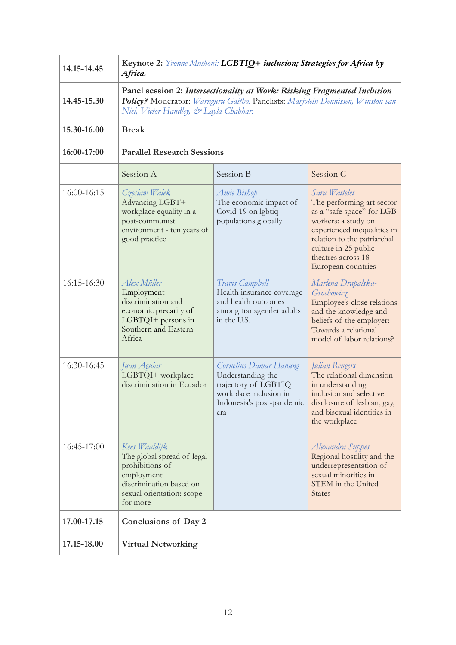| 14.15-14.45 | Keynote 2: Yvonne Muthoni: LGBTIQ+ inclusion; Strategies for Africa by<br>Africa.                                                                                                                     |                                                                                                                                   |                                                                                                                                                                                                                                  |  |  |
|-------------|-------------------------------------------------------------------------------------------------------------------------------------------------------------------------------------------------------|-----------------------------------------------------------------------------------------------------------------------------------|----------------------------------------------------------------------------------------------------------------------------------------------------------------------------------------------------------------------------------|--|--|
| 14.45-15.30 | Panel session 2: Intersectionality at Work: Risking Fragmented Inclusion<br>Policy? Moderator: Waruguru Gaitho. Panelists: Marjolein Dennissen, Winston van<br>Niel, Victor Handley, & Layla Chabhar. |                                                                                                                                   |                                                                                                                                                                                                                                  |  |  |
| 15.30-16.00 | <b>Break</b>                                                                                                                                                                                          |                                                                                                                                   |                                                                                                                                                                                                                                  |  |  |
| 16:00-17:00 | <b>Parallel Research Sessions</b>                                                                                                                                                                     |                                                                                                                                   |                                                                                                                                                                                                                                  |  |  |
|             | Session A                                                                                                                                                                                             | Session B                                                                                                                         | Session C                                                                                                                                                                                                                        |  |  |
| 16:00-16:15 | Czeslaw Walek<br>Advancing LGBT+<br>workplace equality in a<br>post-communist<br>environment - ten years of<br>good practice                                                                          | Amie Bishop<br>The economic impact of<br>Covid-19 on lgbtiq<br>populations globally                                               | Sara Wattelet<br>The performing art sector<br>as a "safe space" for LGB<br>workers: a study on<br>experienced inequalities in<br>relation to the patriarchal<br>culture in 25 public<br>theatres across 18<br>European countries |  |  |
| 16:15-16:30 | Alex Müller<br>Employment<br>discrimination and<br>economic precarity of<br>LGBTQI+ persons in<br>Southern and Eastern<br>Africa                                                                      | Travis Campbell<br>Health insurance coverage<br>and health outcomes<br>among transgender adults<br>in the U.S.                    | Marlena Drapalska-<br>Grochowicz<br>Employee's close relations<br>and the knowledge and<br>beliefs of the employer:<br>Towards a relational<br>model of labor relations?                                                         |  |  |
| 16:30-16:45 | Juan Aguiar<br>LGBTQI+ workplace<br>discrimination in Ecuador                                                                                                                                         | Cornelius Damar Hanung<br>Understanding the<br>trajectory of LGBTIQ<br>workplace inclusion in<br>Indonesia's post-pandemic<br>era | Julian Rengers<br>The relational dimension<br>in understanding<br>inclusion and selective<br>disclosure of lesbian, gay,<br>and bisexual identities in<br>the workplace                                                          |  |  |
| 16:45-17:00 | Kees Waaldijk<br>The global spread of legal<br>prohibitions of<br>employment<br>discrimination based on<br>sexual orientation: scope<br>for more                                                      |                                                                                                                                   | Alexandra Suppes<br>Regional hostility and the<br>underrepresentation of<br>sexual minorities in<br><b>STEM</b> in the United<br><b>States</b>                                                                                   |  |  |
| 17.00-17.15 | Conclusions of Day 2                                                                                                                                                                                  |                                                                                                                                   |                                                                                                                                                                                                                                  |  |  |
| 17.15-18.00 | <b>Virtual Networking</b>                                                                                                                                                                             |                                                                                                                                   |                                                                                                                                                                                                                                  |  |  |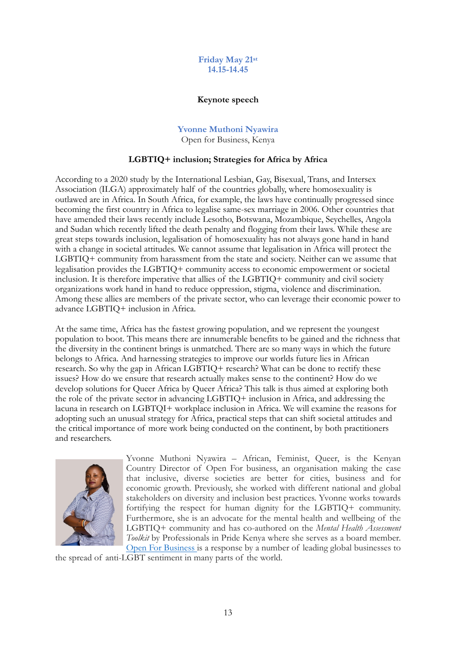# **Friday May 21st 14.15-14.45**

#### **Keynote speech**

#### **Yvonne Muthoni Nyawira** Open for Business, Kenya

# **LGBTIQ+ inclusion; Strategies for Africa by Africa**

According to a 2020 study by the International Lesbian, Gay, Bisexual, Trans, and Intersex Association (ILGA) approximately half of the countries globally, where homosexuality is outlawed are in Africa. In South Africa, for example, the laws have continually progressed since becoming the first country in Africa to legalise same-sex marriage in 2006. Other countries that have amended their laws recently include Lesotho, Botswana, Mozambique, Seychelles, Angola and Sudan which recently lifted the death penalty and flogging from their laws. While these are great steps towards inclusion, legalisation of homosexuality has not always gone hand in hand with a change in societal attitudes. We cannot assume that legalisation in Africa will protect the LGBTIQ+ community from harassment from the state and society. Neither can we assume that legalisation provides the LGBTIQ+ community access to economic empowerment or societal inclusion. It is therefore imperative that allies of the LGBTIQ+ community and civil society organizations work hand in hand to reduce oppression, stigma, violence and discrimination. Among these allies are members of the private sector, who can leverage their economic power to advance LGBTIQ+ inclusion in Africa.

At the same time, Africa has the fastest growing population, and we represent the youngest population to boot. This means there are innumerable benefits to be gained and the richness that the diversity in the continent brings is unmatched. There are so many ways in which the future belongs to Africa. And harnessing strategies to improve our worlds future lies in African research. So why the gap in African LGBTIQ+ research? What can be done to rectify these issues? How do we ensure that research actually makes sense to the continent? How do we develop solutions for Queer Africa by Queer Africa? This talk is thus aimed at exploring both the role of the private sector in advancing LGBTIQ+ inclusion in Africa, and addressing the lacuna in research on LGBTQI+ workplace inclusion in Africa. We will examine the reasons for adopting such an unusual strategy for Africa, practical steps that can shift societal attitudes and the critical importance of more work being conducted on the continent, by both practitioners and researchers.



Yvonne Muthoni Nyawira – African, Feminist, Queer, is the Kenyan Country Director of Open For business, an organisation making the case that inclusive, diverse societies are better for cities, business and for economic growth. Previously, she worked with different national and global stakeholders on diversity and inclusion best practices. Yvonne works towards fortifying the respect for human dignity for the LGBTIQ+ community. Furthermore, she is an advocate for the mental health and wellbeing of the LGBTIQ+ community and has co-authored on the *Mental Health Assessment Toolkit* by Professionals in Pride Kenya where she serves as a board member. [Open For Business](http://www.open-for-business.org/) is a response by a number of leading global businesses to

the spread of anti-LGBT sentiment in many parts of the world.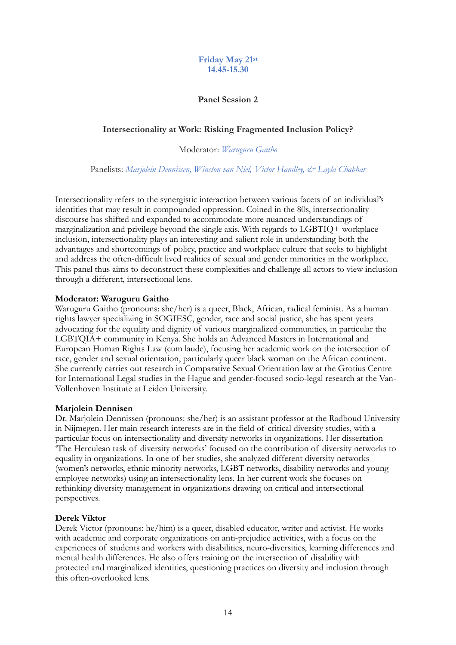# **Friday May 21st 14.45-15.30**

# **Panel Session 2**

# **Intersectionality at Work: Risking Fragmented Inclusion Policy?**

Moderator: *Waruguru Gaitho*

Panelists: *Marjolein Dennissen, Winston van Niel, Victor Handley, & Layla Chabhar*

Intersectionality refers to the synergistic interaction between various facets of an individual's identities that may result in compounded oppression. Coined in the 80s, intersectionality discourse has shifted and expanded to accommodate more nuanced understandings of marginalization and privilege beyond the single axis. With regards to LGBTIQ+ workplace inclusion, intersectionality plays an interesting and salient role in understanding both the advantages and shortcomings of policy, practice and workplace culture that seeks to highlight and address the often-difficult lived realities of sexual and gender minorities in the workplace. This panel thus aims to deconstruct these complexities and challenge all actors to view inclusion through a different, intersectional lens.

# **Moderator: Waruguru Gaitho**

Waruguru Gaitho (pronouns: she/her) is a queer, Black, African, radical feminist. As a human rights lawyer specializing in SOGIESC, gender, race and social justice, she has spent years advocating for the equality and dignity of various marginalized communities, in particular the LGBTQIA+ community in Kenya. She holds an Advanced Masters in International and European Human Rights Law (cum laude), focusing her academic work on the intersection of race, gender and sexual orientation, particularly queer black woman on the African continent. She currently carries out research in Comparative Sexual Orientation law at the Grotius Centre for International Legal studies in the Hague and gender-focused socio-legal research at the Van-Vollenhoven Institute at Leiden University.

## **Marjolein Dennisen**

Dr. Marjolein Dennissen (pronouns: she/her) is an assistant professor at the Radboud University in Nijmegen. Her main research interests are in the field of critical diversity studies, with a particular focus on intersectionality and diversity networks in organizations. Her dissertation 'The Herculean task of diversity networks' focused on the contribution of diversity networks to equality in organizations. In one of her studies, she analyzed different diversity networks (women's networks, ethnic minority networks, LGBT networks, disability networks and young employee networks) using an intersectionality lens. In her current work she focuses on rethinking diversity management in organizations drawing on critical and intersectional perspectives.

# **Derek Viktor**

Derek Victor (pronouns: he/him) is a queer, disabled educator, writer and activist. He works with academic and corporate organizations on anti-prejudice activities, with a focus on the experiences of students and workers with disabilities, neuro-diversities, learning differences and mental health differences. He also offers training on the intersection of disability with protected and marginalized identities, questioning practices on diversity and inclusion through this often-overlooked lens.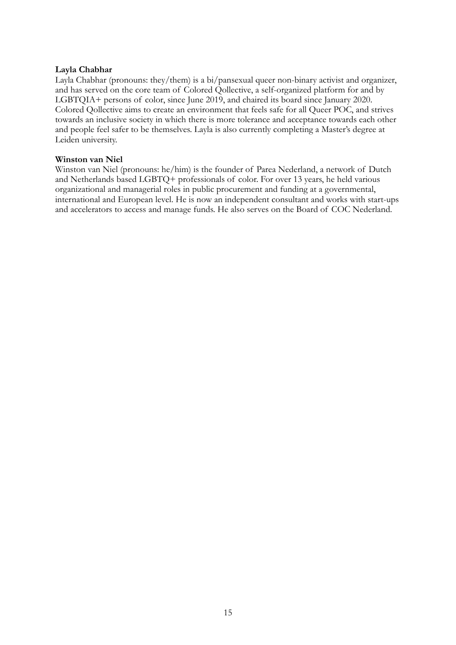# **Layla Chabhar**

Layla Chabhar (pronouns: they/them) is a bi/pansexual queer non-binary activist and organizer, and has served on the core team of Colored Qollective, a self-organized platform for and by LGBTQIA+ persons of color, since June 2019, and chaired its board since January 2020. Colored Qollective aims to create an environment that feels safe for all Queer POC, and strives towards an inclusive society in which there is more tolerance and acceptance towards each other and people feel safer to be themselves. Layla is also currently completing a Master's degree at Leiden university.

# **Winston van Niel**

Winston van Niel (pronouns: he/him) is the founder of Parea Nederland, a network of Dutch and Netherlands based LGBTQ+ professionals of color. For over 13 years, he held various organizational and managerial roles in public procurement and funding at a governmental, international and European level. He is now an independent consultant and works with start-ups and accelerators to access and manage funds. He also serves on the Board of COC Nederland.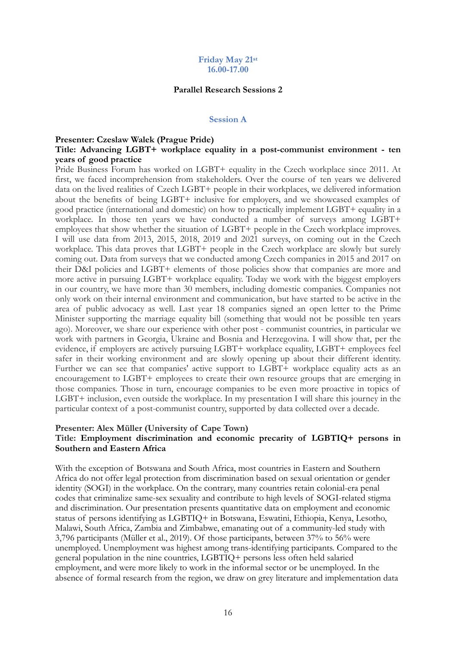#### **Parallel Research Sessions 2**

#### **Session A**

#### **Presenter: Czeslaw Walek (Prague Pride)**

#### **Title: Advancing LGBT+ workplace equality in a post-communist environment - ten years of good practice**

Pride Business Forum has worked on LGBT+ equality in the Czech workplace since 2011. At first, we faced incomprehension from stakeholders. Over the course of ten years we delivered data on the lived realities of Czech LGBT+ people in their workplaces, we delivered information about the benefits of being LGBT+ inclusive for employers, and we showcased examples of good practice (international and domestic) on how to practically implement LGBT+ equality in a workplace. In those ten years we have conducted a number of surveys among LGBT+ employees that show whether the situation of LGBT+ people in the Czech workplace improves. I will use data from 2013, 2015, 2018, 2019 and 2021 surveys, on coming out in the Czech workplace. This data proves that LGBT+ people in the Czech workplace are slowly but surely coming out. Data from surveys that we conducted among Czech companies in 2015 and 2017 on their D&I policies and LGBT+ elements of those policies show that companies are more and more active in pursuing LGBT+ workplace equality. Today we work with the biggest employers in our country, we have more than 30 members, including domestic companies. Companies not only work on their internal environment and communication, but have started to be active in the area of public advocacy as well. Last year 18 companies signed an open letter to the Prime Minister supporting the marriage equality bill (something that would not be possible ten years ago). Moreover, we share our experience with other post - communist countries, in particular we work with partners in Georgia, Ukraine and Bosnia and Herzegovina. I will show that, per the evidence, if employers are actively pursuing LGBT+ workplace equality, LGBT+ employees feel safer in their working environment and are slowly opening up about their different identity. Further we can see that companies' active support to LGBT+ workplace equality acts as an encouragement to LGBT+ employees to create their own resource groups that are emerging in those companies. Those in turn, encourage companies to be even more proactive in topics of LGBT+ inclusion, even outside the workplace. In my presentation I will share this journey in the particular context of a post-communist country, supported by data collected over a decade.

# **Presenter: Alex Müller (University of Cape Town) Title: Employment discrimination and economic precarity of LGBTIQ+ persons in Southern and Eastern Africa**

With the exception of Botswana and South Africa, most countries in Eastern and Southern Africa do not offer legal protection from discrimination based on sexual orientation or gender identity (SOGI) in the workplace. On the contrary, many countries retain colonial-era penal codes that criminalize same-sex sexuality and contribute to high levels of SOGI-related stigma and discrimination. Our presentation presents quantitative data on employment and economic status of persons identifying as LGBTIQ+ in Botswana, Eswatini, Ethiopia, Kenya, Lesotho, Malawi, South Africa, Zambia and Zimbabwe, emanating out of a community-led study with 3,796 participants (Müller et al., 2019). Of those participants, between 37% to 56% were unemployed. Unemployment was highest among trans-identifying participants. Compared to the general population in the nine countries, LGBTIQ+ persons less often held salaried employment, and were more likely to work in the informal sector or be unemployed. In the absence of formal research from the region, we draw on grey literature and implementation data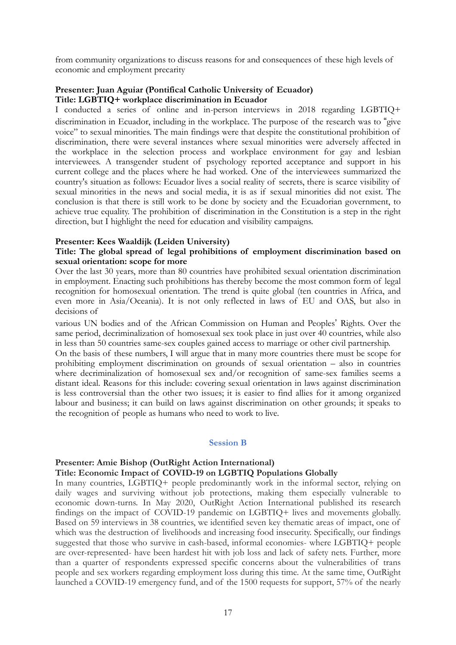from community organizations to discuss reasons for and consequences of these high levels of economic and employment precarity

# **Presenter: Juan Aguiar (Pontifical Catholic University of Ecuador) Title: LGBTIQ+ workplace discrimination in Ecuador**

I conducted a series of online and in-person interviews in 2018 regarding LGBTIQ+ discrimination in Ecuador, including in the workplace. The purpose of the research was to "give voice" to sexual minorities. The main findings were that despite the constitutional prohibition of discrimination, there were several instances where sexual minorities were adversely affected in the workplace in the selection process and workplace environment for gay and lesbian interviewees. A transgender student of psychology reported acceptance and support in his current college and the places where he had worked. One of the interviewees summarized the country's situation as follows: Ecuador lives a social reality of secrets, there is scarce visibility of sexual minorities in the news and social media, it is as if sexual minorities did not exist. The conclusion is that there is still work to be done by society and the Ecuadorian government, to achieve true equality. The prohibition of discrimination in the Constitution is a step in the right direction, but I highlight the need for education and visibility campaigns.

# **Presenter: Kees Waaldijk (Leiden University)**

## **Title: The global spread of legal prohibitions of employment discrimination based on sexual orientation: scope for more**

Over the last 30 years, more than 80 countries have prohibited sexual orientation discrimination in employment. Enacting such prohibitions has thereby become the most common form of legal recognition for homosexual orientation. The trend is quite global (ten countries in Africa, and even more in Asia/Oceania). It is not only reflected in laws of EU and OAS, but also in decisions of

various UN bodies and of the African Commission on Human and Peoples" Rights. Over the same period, decriminalization of homosexual sex took place in just over 40 countries, while also in less than 50 countries same-sex couples gained access to marriage or other civil partnership.

On the basis of these numbers, I will argue that in many more countries there must be scope for prohibiting employment discrimination on grounds of sexual orientation – also in countries where decriminalization of homosexual sex and/or recognition of same-sex families seems a distant ideal. Reasons for this include: covering sexual orientation in laws against discrimination is less controversial than the other two issues; it is easier to find allies for it among organized labour and business; it can build on laws against discrimination on other grounds; it speaks to the recognition of people as humans who need to work to live.

## **Session B**

## **Presenter: Amie Bishop (OutRight Action International)**

# **Title: Economic Impact of COVID-19 on LGBTIQ Populations Globally**

In many countries, LGBTIQ+ people predominantly work in the informal sector, relying on daily wages and surviving without job protections, making them especially vulnerable to economic down-turns. In May 2020, OutRight Action International published its research findings on the impact of COVID-19 pandemic on LGBTIQ+ lives and movements globally. Based on 59 interviews in 38 countries, we identified seven key thematic areas of impact, one of which was the destruction of livelihoods and increasing food insecurity. Specifically, our findings suggested that those who survive in cash-based, informal economies- where LGBTIQ+ people are over-represented- have been hardest hit with job loss and lack of safety nets. Further, more than a quarter of respondents expressed specific concerns about the vulnerabilities of trans people and sex workers regarding employment loss during this time. At the same time, OutRight launched a COVID-19 emergency fund, and of the 1500 requests for support, 57% of the nearly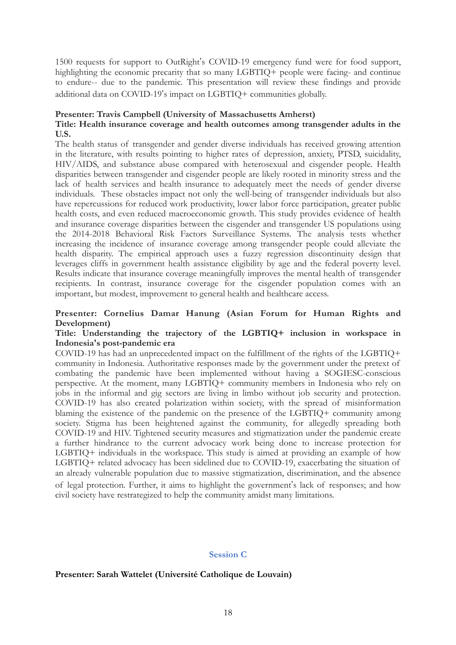1500 requests for support to OutRight"s COVID-19 emergency fund were for food support, highlighting the economic precarity that so many LGBTIQ+ people were facing- and continue to endure-- due to the pandemic. This presentation will review these findings and provide additional data on COVID-19"s impact on LGBTIQ+ communities globally.

# **Presenter: Travis Campbell (University of Massachusetts Amherst)**

# **Title: Health insurance coverage and health outcomes among transgender adults in the U.S.**

The health status of transgender and gender diverse individuals has received growing attention in the literature, with results pointing to higher rates of depression, anxiety, PTSD, suicidality, HIV/AIDS, and substance abuse compared with heterosexual and cisgender people. Health disparities between transgender and cisgender people are likely rooted in minority stress and the lack of health services and health insurance to adequately meet the needs of gender diverse individuals. These obstacles impact not only the well-being of transgender individuals but also have repercussions for reduced work productivity, lower labor force participation, greater public health costs, and even reduced macroeconomic growth. This study provides evidence of health and insurance coverage disparities between the cisgender and transgender US populations using the 2014-2018 Behavioral Risk Factors Surveillance Systems. The analysis tests whether increasing the incidence of insurance coverage among transgender people could alleviate the health disparity. The empirical approach uses a fuzzy regression discontinuity design that leverages cliffs in government health assistance eligibility by age and the federal poverty level. Results indicate that insurance coverage meaningfully improves the mental health of transgender recipients. In contrast, insurance coverage for the cisgender population comes with an important, but modest, improvement to general health and healthcare access.

# **Presenter: Cornelius Damar Hanung (Asian Forum for Human Rights and Development)**

# **Title: Understanding the trajectory of the LGBTIQ+ inclusion in workspace in Indonesia's post-pandemic era**

COVID-19 has had an unprecedented impact on the fulfillment of the rights of the LGBTIQ+ community in Indonesia. Authoritative responses made by the government under the pretext of combating the pandemic have been implemented without having a SOGIESC-conscious perspective. At the moment, many LGBTIQ+ community members in Indonesia who rely on jobs in the informal and gig sectors are living in limbo without job security and protection. COVID-19 has also created polarization within society, with the spread of misinformation blaming the existence of the pandemic on the presence of the LGBTIQ+ community among society. Stigma has been heightened against the community, for allegedly spreading both COVID-19 and HIV. Tightened security measures and stigmatization under the pandemic create a further hindrance to the current advocacy work being done to increase protection for LGBTIQ+ individuals in the workspace. This study is aimed at providing an example of how LGBTIQ+ related advocacy has been sidelined due to COVID-19, exacerbating the situation of an already vulnerable population due to massive stigmatization, discrimination, and the absence of legal protection. Further, it aims to highlight the government"s lack of responses; and how civil society have restrategized to help the community amidst many limitations.

## **Session C**

## **Presenter: Sarah Wattelet (Université Catholique de Louvain)**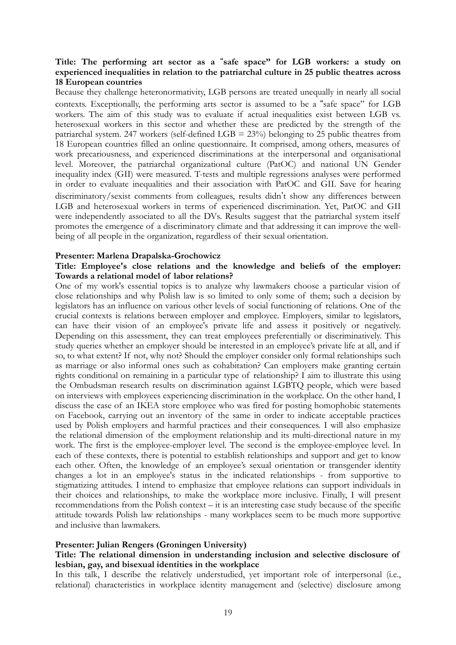# **Title: The performing art sector as a** %**safe space" for LGB workers: a study on experienced inequalities in relation to the patriarchal culture in 25 public theatres across 18 European countries**

Because they challenge heteronormativity, LGB persons are treated unequally in nearly all social contexts. Exceptionally, the performing arts sector is assumed to be a "safe space" for LGB workers. The aim of this study was to evaluate if actual inequalities exist between LGB vs. heterosexual workers in this sector and whether these are predicted by the strength of the patriarchal system. 247 workers (self-defined LGB  $= 23\%$ ) belonging to 25 public theatres from 18 European countries filled an online questionnaire. It comprised, among others, measures of work precariousness, and experienced discriminations at the interpersonal and organisational level. Moreover, the patriarchal organizational culture (PatOC) and national UN Gender inequality index (GII) were measured. T-tests and multiple regressions analyses were performed in order to evaluate inequalities and their association with PatOC and GII. Save for hearing discriminatory/sexist comments from colleagues, results didn"t show any differences between LGB and heterosexual workers in terms of experienced discrimination. Yet, PatOC and GII were independently associated to all the DVs. Results suggest that the patriarchal system itself promotes the emergence of a discriminatory climate and that addressing it can improve the wellbeing of all people in the organization, regardless of their sexual orientation.

#### **Presenter: Marlena Drapalska-Grochowicz**

# **Title: Employee's close relations and the knowledge and beliefs of the employer: Towards a relational model of labor relations?**

One of my work's essential topics is to analyze why lawmakers choose a particular vision of close relationships and why Polish law is so limited to only some of them; such a decision by legislators has an influence on various other levels of social functioning of relations. One of the crucial contexts is relations between employer and employee. Employers, similar to legislators, can have their vision of an employee's private life and assess it positively or negatively. Depending on this assessment, they can treat employees preferentially or discriminatively. This study queries whether an employer should be interested in an employee's private life at all, and if so, to what extent? If not, why not? Should the employer consider only formal relationships such as marriage or also informal ones such as cohabitation? Can employers make granting certain rights conditional on remaining in a particular type of relationship? I aim to illustrate this using the Ombudsman research results on discrimination against LGBTQ people, which were based on interviews with employees experiencing discrimination in the workplace. On the other hand, I discuss the case of an IKEA store employee who was fired for posting homophobic statements on Facebook, carrying out an inventory of the same in order to indicate acceptable practices used by Polish employers and harmful practices and their consequences. I will also emphasize the relational dimension of the employment relationship and its multi-directional nature in my work. The first is the employee-employer level. The second is the employee-employee level. In each of these contexts, there is potential to establish relationships and support and get to know each other. Often, the knowledge of an employee's sexual orientation or transgender identity changes a lot in an employee's status in the indicated relationships - from supportive to stigmatizing attitudes. I intend to emphasize that employee relations can support individuals in their choices and relationships, to make the workplace more inclusive. Finally, I will present recommendations from the Polish context – it is an interesting case study because of the specific attitude towards Polish law relationships - many workplaces seem to be much more supportive and inclusive than lawmakers.

## **Presenter: Julian Rengers (Groningen University)**

# **Title: The relational dimension in understanding inclusion and selective disclosure of lesbian, gay, and bisexual identities in the workplace**

In this talk, I describe the relatively understudied, yet important role of interpersonal (i.e., relational) characteristics in workplace identity management and (selective) disclosure among